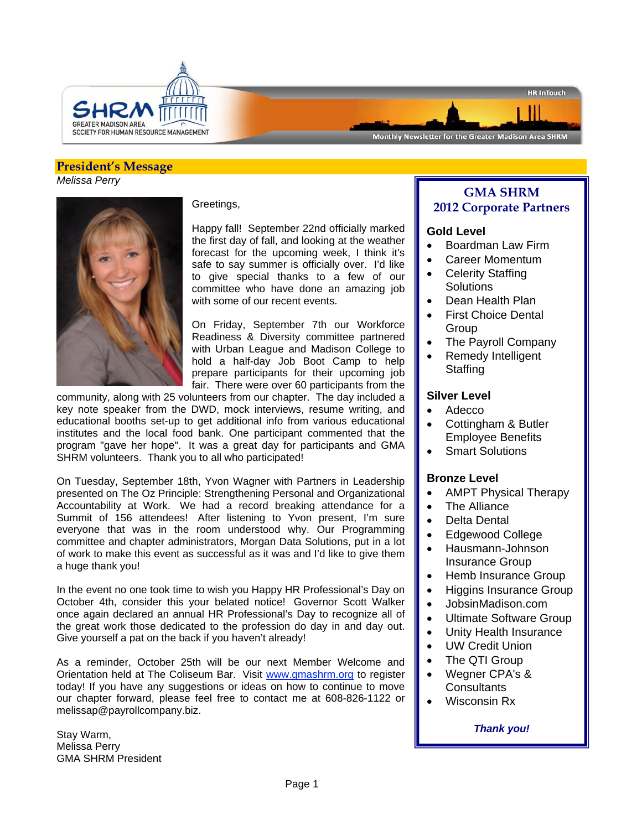

Monthly Newsletter for the Greater Madison Area SHRM

## **President's Message**  *Melissa Perry*



Greetings,

Happy fall! September 22nd officially marked the first day of fall, and looking at the weather forecast for the upcoming week, I think it's safe to say summer is officially over. I'd like to give special thanks to a few of our committee who have done an amazing job with some of our recent events.

On Friday, September 7th our Workforce Readiness & Diversity committee partnered with Urban League and Madison College to hold a half-day Job Boot Camp to help prepare participants for their upcoming job fair. There were over 60 participants from the

community, along with 25 volunteers from our chapter. The day included a key note speaker from the DWD, mock interviews, resume writing, and educational booths set-up to get additional info from various educational institutes and the local food bank. One participant commented that the program "gave her hope". It was a great day for participants and GMA SHRM volunteers. Thank you to all who participated!

On Tuesday, September 18th, Yvon Wagner with Partners in Leadership presented on The Oz Principle: Strengthening Personal and Organizational Accountability at Work. We had a record breaking attendance for a Summit of 156 attendees! After listening to Yvon present, I'm sure everyone that was in the room understood why. Our Programming committee and chapter administrators, Morgan Data Solutions, put in a lot of work to make this event as successful as it was and I'd like to give them a huge thank you!

In the event no one took time to wish you Happy HR Professional's Day on October 4th, consider this your belated notice! Governor Scott Walker once again declared an annual HR Professional's Day to recognize all of the great work those dedicated to the profession do day in and day out. Give yourself a pat on the back if you haven't already!

As a reminder, October 25th will be our next Member Welcome and Orientation held at The Coliseum Bar. Visit www.gmashrm.org to register today! If you have any suggestions or ideas on how to continue to move our chapter forward, please feel free to contact me at 608-826-1122 or melissap@payrollcompany.biz.

Stay Warm, Melissa Perry GMA SHRM President

# **GMA SHRM 2012 Corporate Partners**

**HR InTouch** 

## **Gold Level**

- Boardman Law Firm
- Career Momentum
- Celerity Staffing **Solutions**
- Dean Health Plan
- First Choice Dental **Group**
- The Payroll Company
- Remedy Intelligent **Staffing**

## **Silver Level**

- Adecco
- Cottingham & Butler Employee Benefits
- Smart Solutions

## **Bronze Level**

- AMPT Physical Therapy
- The Alliance
- Delta Dental
- Edgewood College
- Hausmann-Johnson Insurance Group
- Hemb Insurance Group
- Higgins Insurance Group
- JobsinMadison.com
- Ultimate Software Group
- Unity Health Insurance
- UW Credit Union
- The QTI Group
- Wegner CPA's & **Consultants**
- Wisconsin Rx

### *Thank you!*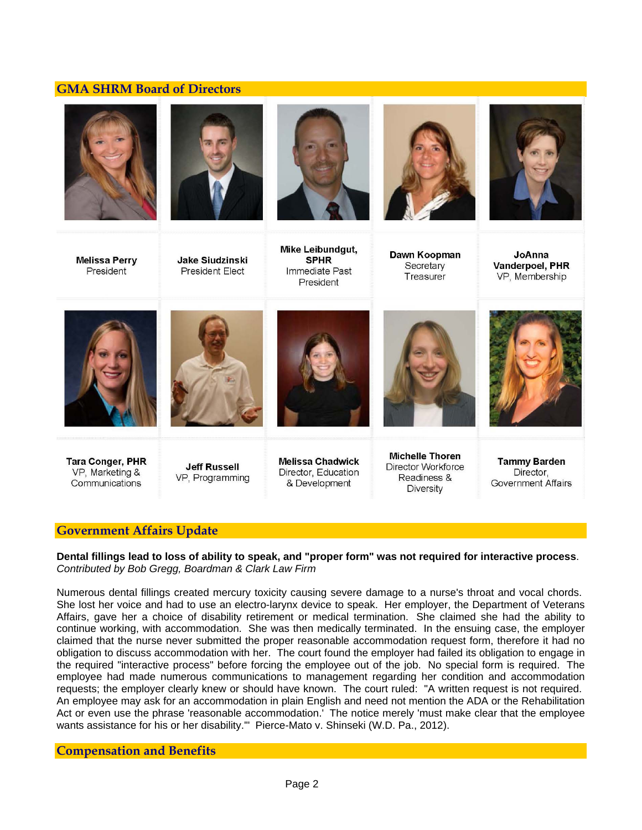# **GMA SHRM Board of Directors**













**Melissa Perry** President



**Jake Siudzinski President Elect** 

Immediate Past President

Dawn Koopman Secretary Treasurer

JoAnna Vanderpoel, PHR VP. Membership



**Tara Conger, PHR** VP, Marketing & Communications



**Jeff Russell** 

VP, Programming

**Melissa Chadwick** Director, Education & Development

**Michelle Thoren** Director Workforce Readiness & Diversity

**Tammy Barden** Director, **Government Affairs** 

## **Government Affairs Update**

**Dental fillings lead to loss of ability to speak, and "proper form" was not required for interactive process**. *Contributed by Bob Gregg, Boardman & Clark Law Firm* 

Numerous dental fillings created mercury toxicity causing severe damage to a nurse's throat and vocal chords. She lost her voice and had to use an electro-larynx device to speak. Her employer, the Department of Veterans Affairs, gave her a choice of disability retirement or medical termination. She claimed she had the ability to continue working, with accommodation. She was then medically terminated. In the ensuing case, the employer claimed that the nurse never submitted the proper reasonable accommodation request form, therefore it had no obligation to discuss accommodation with her. The court found the employer had failed its obligation to engage in the required "interactive process" before forcing the employee out of the job. No special form is required. The employee had made numerous communications to management regarding her condition and accommodation requests; the employer clearly knew or should have known. The court ruled: "A written request is not required. An employee may ask for an accommodation in plain English and need not mention the ADA or the Rehabilitation Act or even use the phrase 'reasonable accommodation.' The notice merely 'must make clear that the employee wants assistance for his or her disability.'" Pierce-Mato v. Shinseki (W.D. Pa., 2012).

## **Compensation and Benefits**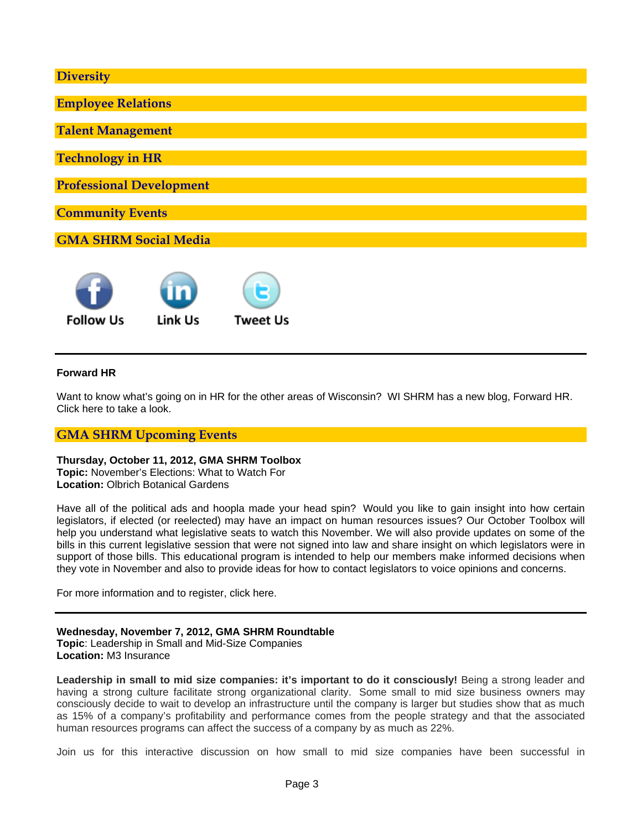| <b>Diversity</b>                |  |  |  |  |  |  |
|---------------------------------|--|--|--|--|--|--|
| <b>Employee Relations</b>       |  |  |  |  |  |  |
| <b>Talent Management</b>        |  |  |  |  |  |  |
| <b>Technology in HR</b>         |  |  |  |  |  |  |
| <b>Professional Development</b> |  |  |  |  |  |  |
| <b>Community Events</b>         |  |  |  |  |  |  |
| <b>GMA SHRM Social Media</b>    |  |  |  |  |  |  |
|                                 |  |  |  |  |  |  |
|                                 |  |  |  |  |  |  |

**Follow Us** 

Link Us

## **Forward HR**

Want to know what's going on in HR for the other areas of Wisconsin? WI SHRM has a new blog, Forward HR. Click here to take a look.

**Tweet Us** 

# **GMA SHRM Upcoming Events**

### **Thursday, October 11, 2012, GMA SHRM Toolbox**

**Topic:** November's Elections: What to Watch For **Location:** Olbrich Botanical Gardens

Have all of the political ads and hoopla made your head spin? Would you like to gain insight into how certain legislators, if elected (or reelected) may have an impact on human resources issues? Our October Toolbox will help you understand what legislative seats to watch this November. We will also provide updates on some of the bills in this current legislative session that were not signed into law and share insight on which legislators were in support of those bills. This educational program is intended to help our members make informed decisions when they vote in November and also to provide ideas for how to contact legislators to voice opinions and concerns.

For more information and to register, click here.

## **Wednesday, November 7, 2012, GMA SHRM Roundtable**

**Topic**: Leadership in Small and Mid-Size Companies **Location:** M3 Insurance

Leadership in small to mid size companies: it's important to do it consciously! Being a strong leader and having a strong culture facilitate strong organizational clarity. Some small to mid size business owners may consciously decide to wait to develop an infrastructure until the company is larger but studies show that as much as 15% of a company's profitability and performance comes from the people strategy and that the associated human resources programs can affect the success of a company by as much as 22%.

Join us for this interactive discussion on how small to mid size companies have been successful in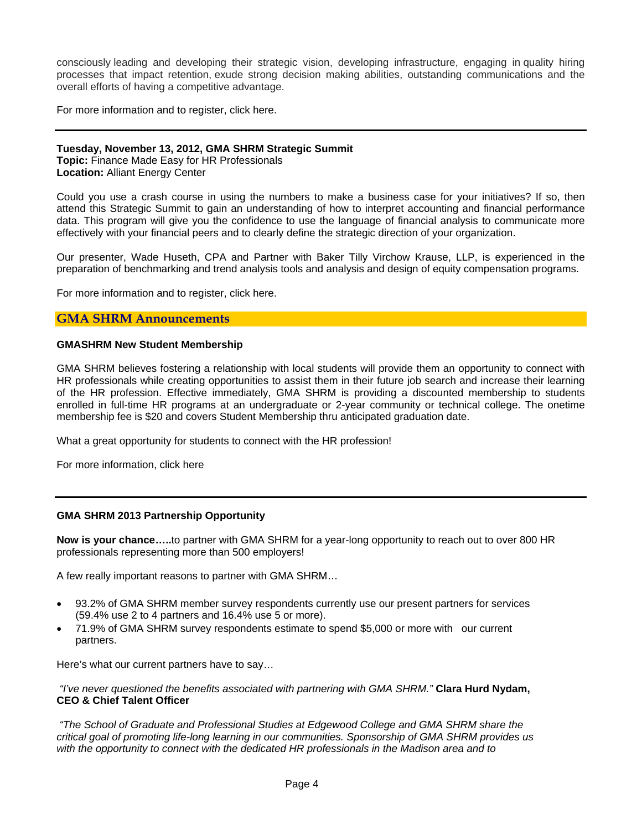consciously leading and developing their strategic vision, developing infrastructure, engaging in quality hiring processes that impact retention, exude strong decision making abilities, outstanding communications and the overall efforts of having a competitive advantage.

For more information and to register, click here.

## **Tuesday, November 13, 2012, GMA SHRM Strategic Summit**

**Topic:** Finance Made Easy for HR Professionals **Location:** Alliant Energy Center

Could you use a crash course in using the numbers to make a business case for your initiatives? If so, then attend this Strategic Summit to gain an understanding of how to interpret accounting and financial performance data. This program will give you the confidence to use the language of financial analysis to communicate more effectively with your financial peers and to clearly define the strategic direction of your organization.

Our presenter, Wade Huseth, CPA and Partner with Baker Tilly Virchow Krause, LLP, is experienced in the preparation of benchmarking and trend analysis tools and analysis and design of equity compensation programs.

For more information and to register, click here.

## **GMA SHRM Announcements**

#### **GMASHRM New Student Membership**

GMA SHRM believes fostering a relationship with local students will provide them an opportunity to connect with HR professionals while creating opportunities to assist them in their future job search and increase their learning of the HR profession. Effective immediately, GMA SHRM is providing a discounted membership to students enrolled in full-time HR programs at an undergraduate or 2-year community or technical college. The onetime membership fee is \$20 and covers Student Membership thru anticipated graduation date.

What a great opportunity for students to connect with the HR profession!

For more information, click here

### **GMA SHRM 2013 Partnership Opportunity**

**Now is your chance…..**to partner with GMA SHRM for a year-long opportunity to reach out to over 800 HR professionals representing more than 500 employers!

A few really important reasons to partner with GMA SHRM…

- 93.2% of GMA SHRM member survey respondents currently use our present partners for services (59.4% use 2 to 4 partners and 16.4% use 5 or more).
- 71.9% of GMA SHRM survey respondents estimate to spend \$5,000 or more with our current partners.

Here's what our current partners have to say…

 *"I've never questioned the benefits associated with partnering with GMA SHRM."* **Clara Hurd Nydam, CEO & Chief Talent Officer**

 *"The School of Graduate and Professional Studies at Edgewood College and GMA SHRM share the critical goal of promoting life-long learning in our communities. Sponsorship of GMA SHRM provides us with the opportunity to connect with the dedicated HR professionals in the Madison area and to*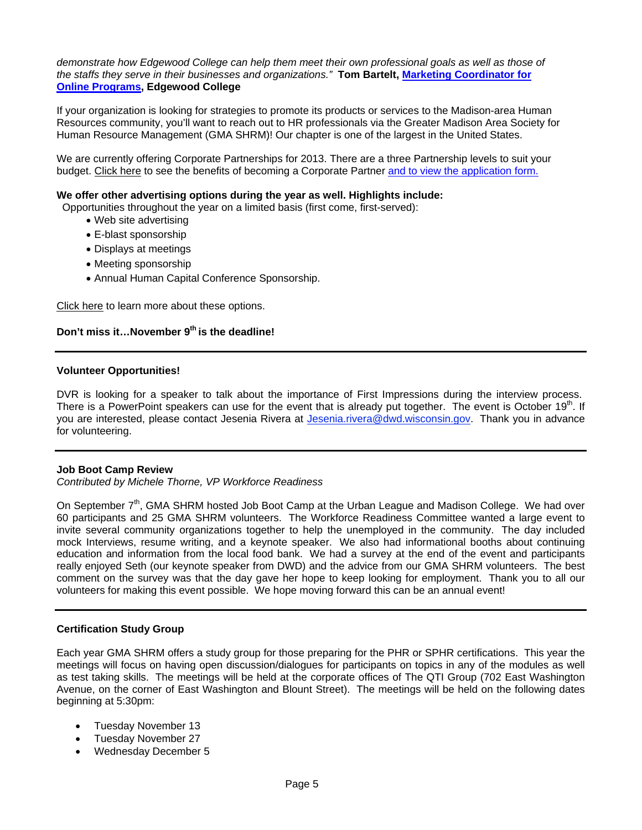*demonstrate how Edgewood College can help them meet their own professional goals as well as those of the staffs they serve in their businesses and organizations."* **Tom Bartelt, Marketing Coordinator for Online Programs, Edgewood College** 

If your organization is looking for strategies to promote its products or services to the Madison-area Human Resources community, you'll want to reach out to HR professionals via the Greater Madison Area Society for Human Resource Management (GMA SHRM)! Our chapter is one of the largest in the United States.

We are currently offering Corporate Partnerships for 2013. There are a three Partnership levels to suit your budget. Click here to see the benefits of becoming a Corporate Partner and to view the application form.

### **We offer other advertising options during the year as well. Highlights include:**

Opportunities throughout the year on a limited basis (first come, first-served):

- Web site advertising
- E-blast sponsorship
- Displays at meetings
- Meeting sponsorship
- Annual Human Capital Conference Sponsorship.

Click here to learn more about these options.

# Don't miss it...November 9<sup>th</sup> is the deadline!

## **Volunteer Opportunities!**

DVR is looking for a speaker to talk about the importance of First Impressions during the interview process. There is a PowerPoint speakers can use for the event that is already put together. The event is October 19 $^{\text{m}}$ . If you are interested, please contact Jesenia Rivera at Jesenia.rivera@dwd.wisconsin.gov. Thank you in advance for volunteering.

### **Job Boot Camp Review**

*Contributed by Michele Thorne, VP Workforce Readiness* 

On September 7<sup>th</sup>, GMA SHRM hosted Job Boot Camp at the Urban League and Madison College. We had over 60 participants and 25 GMA SHRM volunteers. The Workforce Readiness Committee wanted a large event to invite several community organizations together to help the unemployed in the community. The day included mock Interviews, resume writing, and a keynote speaker. We also had informational booths about continuing education and information from the local food bank. We had a survey at the end of the event and participants really enjoyed Seth (our keynote speaker from DWD) and the advice from our GMA SHRM volunteers. The best comment on the survey was that the day gave her hope to keep looking for employment. Thank you to all our volunteers for making this event possible. We hope moving forward this can be an annual event!

### **Certification Study Group**

Each year GMA SHRM offers a study group for those preparing for the PHR or SPHR certifications. This year the meetings will focus on having open discussion/dialogues for participants on topics in any of the modules as well as test taking skills. The meetings will be held at the corporate offices of The QTI Group (702 East Washington Avenue, on the corner of East Washington and Blount Street). The meetings will be held on the following dates beginning at 5:30pm:

- Tuesday November 13
- Tuesday November 27
- Wednesday December 5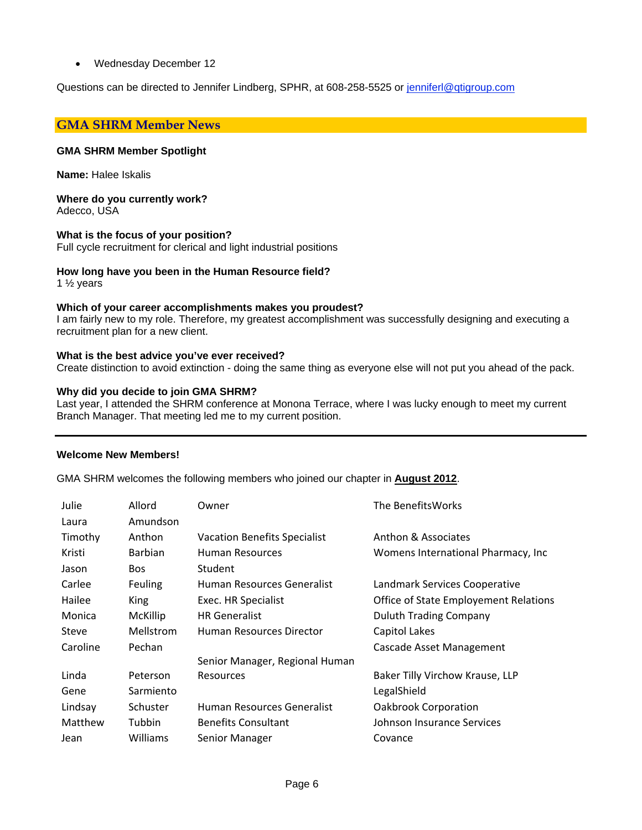Wednesday December 12

Questions can be directed to Jennifer Lindberg, SPHR, at 608-258-5525 or jenniferl@qtigroup.com

## **GMA SHRM Member News**

### **GMA SHRM Member Spotlight**

**Name:** Halee Iskalis

**Where do you currently work?**  Adecco, USA

### **What is the focus of your position?**

Full cycle recruitment for clerical and light industrial positions

## **How long have you been in the Human Resource field?**

1 ½ years

### **Which of your career accomplishments makes you proudest?**

I am fairly new to my role. Therefore, my greatest accomplishment was successfully designing and executing a recruitment plan for a new client.

### **What is the best advice you've ever received?**

Create distinction to avoid extinction - doing the same thing as everyone else will not put you ahead of the pack.

## **Why did you decide to join GMA SHRM?**

Last year, I attended the SHRM conference at Monona Terrace, where I was lucky enough to meet my current Branch Manager. That meeting led me to my current position.

### **Welcome New Members!**

GMA SHRM welcomes the following members who joined our chapter in **August 2012**.

| Julie    | Allord           | Owner                               | The BenefitsWorks                            |
|----------|------------------|-------------------------------------|----------------------------------------------|
| Laura    | Amundson         |                                     |                                              |
| Timothy  | Anthon           | <b>Vacation Benefits Specialist</b> | Anthon & Associates                          |
| Kristi   | Barbian          | <b>Human Resources</b>              | Womens International Pharmacy, Inc.          |
| Jason    | Bos              | Student                             |                                              |
| Carlee   | <b>Feuling</b>   | Human Resources Generalist          | Landmark Services Cooperative                |
| Hailee   | <b>King</b>      | Exec. HR Specialist                 | <b>Office of State Employement Relations</b> |
| Monica   | McKillip         | <b>HR Generalist</b>                | <b>Duluth Trading Company</b>                |
| Steve    | <b>Mellstrom</b> | Human Resources Director            | Capitol Lakes                                |
| Caroline | Pechan           |                                     | Cascade Asset Management                     |
|          |                  | Senior Manager, Regional Human      |                                              |
| Linda    | Peterson         | <b>Resources</b>                    | Baker Tilly Virchow Krause, LLP              |
| Gene     | Sarmiento        |                                     | LegalShield                                  |
| Lindsay  | Schuster         | Human Resources Generalist          | <b>Oakbrook Corporation</b>                  |
| Matthew  | Tubbin           | <b>Benefits Consultant</b>          | Johnson Insurance Services                   |
| Jean     | Williams         | Senior Manager                      | Covance                                      |